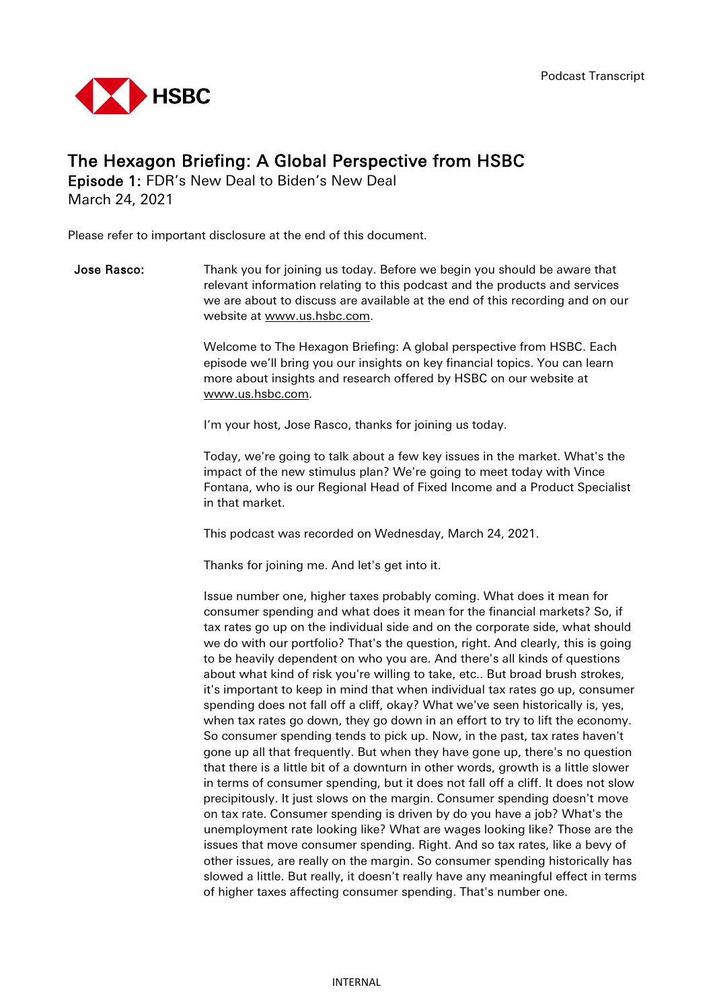

## The Hexagon Briefing: A Global Perspective from HSBC

Episode 1: FDR's New Deal to Biden's New Deal March 24, 2021

Please refer to important disclosure at the end of this document.

**Jose Rasco:** Thank you for joining us today. Before we begin you should be aware that relevant information relating to this podcast and the products and services we are about to discuss are available at the end of this recording and on our website at [www.us.hsbc.com.](http://www.us.hsbc.com/)

> Welcome to The Hexagon Briefing: A global perspective from HSBC. Each episode we'll bring you our insights on key financial topics. You can learn more about insights and research offered by HSBC on our website at [www.us.hsbc.com.](http://www.us.hsbc.com/)

I'm your host, Jose Rasco, thanks for joining us today.

Today, we're going to talk about a few key issues in the market. What's the impact of the new stimulus plan? We're going to meet today with Vince Fontana, who is our Regional Head of Fixed Income and a Product Specialist in that market.

This podcast was recorded on Wednesday, March 24, 2021.

Thanks for joining me. And let's get into it.

Issue number one, higher taxes probably coming. What does it mean for consumer spending and what does it mean for the financial markets? So, if tax rates go up on the individual side and on the corporate side, what should we do with our portfolio? That's the question, right. And clearly, this is going to be heavily dependent on who you are. And there's all kinds of questions about what kind of risk you're willing to take, etc.. But broad brush strokes, it's important to keep in mind that when individual tax rates go up, consumer spending does not fall off a cliff, okay? What we've seen historically is, yes, when tax rates go down, they go down in an effort to try to lift the economy. So consumer spending tends to pick up. Now, in the past, tax rates haven't gone up all that frequently. But when they have gone up, there's no question that there is a little bit of a downturn in other words, growth is a little slower in terms of consumer spending, but it does not fall off a cliff. It does not slow precipitously. It just slows on the margin. Consumer spending doesn't move on tax rate. Consumer spending is driven by do you have a job? What's the unemployment rate looking like? What are wages looking like? Those are the issues that move consumer spending. Right. And so tax rates, like a bevy of other issues, are really on the margin. So consumer spending historically has slowed a little. But really, it doesn't really have any meaningful effect in terms of higher taxes affecting consumer spending. That's number one.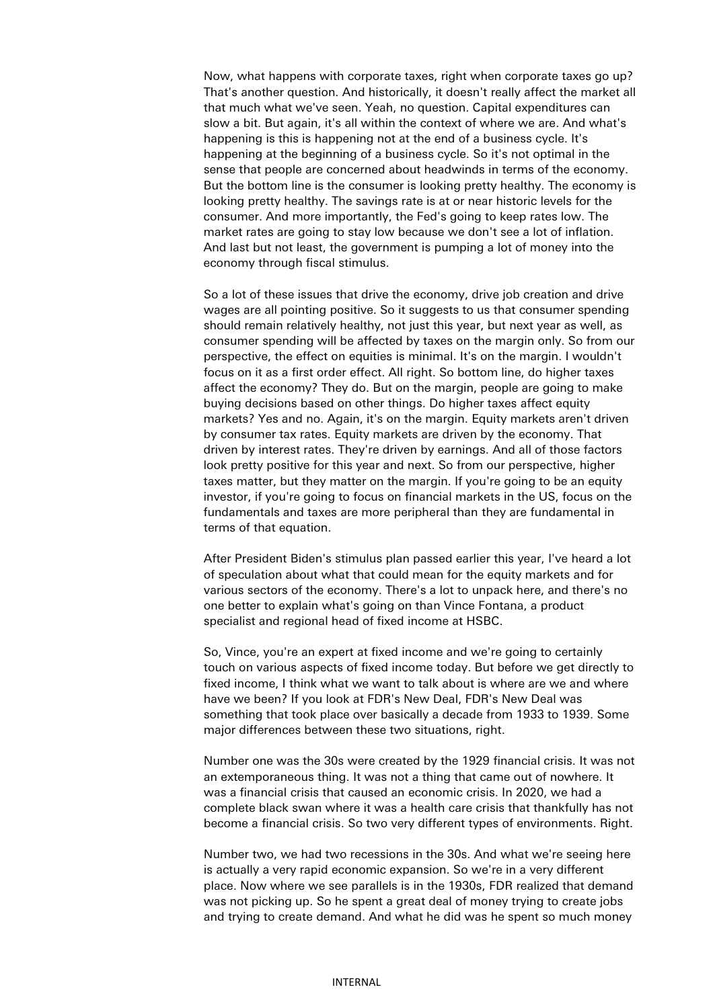Now, what happens with corporate taxes, right when corporate taxes go up? That's another question. And historically, it doesn't really affect the market all that much what we've seen. Yeah, no question. Capital expenditures can slow a bit. But again, it's all within the context of where we are. And what's happening is this is happening not at the end of a business cycle. It's happening at the beginning of a business cycle. So it's not optimal in the sense that people are concerned about headwinds in terms of the economy. But the bottom line is the consumer is looking pretty healthy. The economy is looking pretty healthy. The savings rate is at or near historic levels for the consumer. And more importantly, the Fed's going to keep rates low. The market rates are going to stay low because we don't see a lot of inflation. And last but not least, the government is pumping a lot of money into the economy through fiscal stimulus.

So a lot of these issues that drive the economy, drive job creation and drive wages are all pointing positive. So it suggests to us that consumer spending should remain relatively healthy, not just this year, but next year as well, as consumer spending will be affected by taxes on the margin only. So from our perspective, the effect on equities is minimal. It's on the margin. I wouldn't focus on it as a first order effect. All right. So bottom line, do higher taxes affect the economy? They do. But on the margin, people are going to make buying decisions based on other things. Do higher taxes affect equity markets? Yes and no. Again, it's on the margin. Equity markets aren't driven by consumer tax rates. Equity markets are driven by the economy. That driven by interest rates. They're driven by earnings. And all of those factors look pretty positive for this year and next. So from our perspective, higher taxes matter, but they matter on the margin. If you're going to be an equity investor, if you're going to focus on financial markets in the US, focus on the fundamentals and taxes are more peripheral than they are fundamental in terms of that equation.

After President Biden's stimulus plan passed earlier this year, I've heard a lot of speculation about what that could mean for the equity markets and for various sectors of the economy. There's a lot to unpack here, and there's no one better to explain what's going on than Vince Fontana, a product specialist and regional head of fixed income at HSBC.

 So, Vince, you're an expert at fixed income and we're going to certainly touch on various aspects of fixed income today. But before we get directly to fixed income, I think what we want to talk about is where are we and where have we been? If you look at FDR's New Deal, FDR's New Deal was something that took place over basically a decade from 1933 to 1939. Some major differences between these two situations, right.

Number one was the 30s were created by the 1929 financial crisis. It was not an extemporaneous thing. It was not a thing that came out of nowhere. It was a financial crisis that caused an economic crisis. In 2020, we had a complete black swan where it was a health care crisis that thankfully has not become a financial crisis. So two very different types of environments. Right.

Number two, we had two recessions in the 30s. And what we're seeing here is actually a very rapid economic expansion. So we're in a very different place. Now where we see parallels is in the 1930s, FDR realized that demand was not picking up. So he spent a great deal of money trying to create jobs and trying to create demand. And what he did was he spent so much money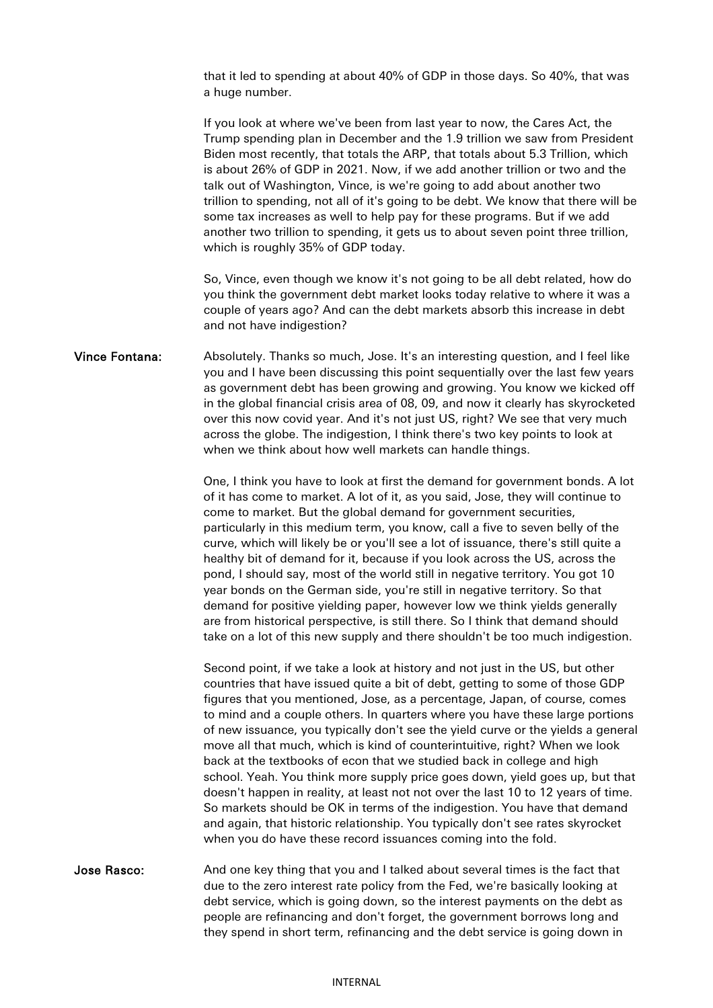that it led to spending at about 40% of GDP in those days. So 40%, that was a huge number.

If you look at where we've been from last year to now, the Cares Act, the Trump spending plan in December and the 1.9 trillion we saw from President Biden most recently, that totals the ARP, that totals about 5.3 Trillion, which is about 26% of GDP in 2021. Now, if we add another trillion or two and the talk out of Washington, Vince, is we're going to add about another two trillion to spending, not all of it's going to be debt. We know that there will be some tax increases as well to help pay for these programs. But if we add another two trillion to spending, it gets us to about seven point three trillion, which is roughly 35% of GDP today.

So, Vince, even though we know it's not going to be all debt related, how do you think the government debt market looks today relative to where it was a couple of years ago? And can the debt markets absorb this increase in debt and not have indigestion?

Vince Fontana: Absolutely. Thanks so much, Jose. It's an interesting question, and I feel like you and I have been discussing this point sequentially over the last few years as government debt has been growing and growing. You know we kicked off in the global financial crisis area of 08, 09, and now it clearly has skyrocketed over this now covid year. And it's not just US, right? We see that very much across the globe. The indigestion, I think there's two key points to look at when we think about how well markets can handle things.

> One, I think you have to look at first the demand for government bonds. A lot of it has come to market. A lot of it, as you said, Jose, they will continue to come to market. But the global demand for government securities, particularly in this medium term, you know, call a five to seven belly of the curve, which will likely be or you'll see a lot of issuance, there's still quite a healthy bit of demand for it, because if you look across the US, across the pond, I should say, most of the world still in negative territory. You got 10 year bonds on the German side, you're still in negative territory. So that demand for positive yielding paper, however low we think yields generally are from historical perspective, is still there. So I think that demand should take on a lot of this new supply and there shouldn't be too much indigestion.

> Second point, if we take a look at history and not just in the US, but other countries that have issued quite a bit of debt, getting to some of those GDP figures that you mentioned, Jose, as a percentage, Japan, of course, comes to mind and a couple others. In quarters where you have these large portions of new issuance, you typically don't see the yield curve or the yields a general move all that much, which is kind of counterintuitive, right? When we look back at the textbooks of econ that we studied back in college and high school. Yeah. You think more supply price goes down, yield goes up, but that doesn't happen in reality, at least not not over the last 10 to 12 years of time. So markets should be OK in terms of the indigestion. You have that demand and again, that historic relationship. You typically don't see rates skyrocket when you do have these record issuances coming into the fold.

Jose Rasco: And one key thing that you and I talked about several times is the fact that due to the zero interest rate policy from the Fed, we're basically looking at debt service, which is going down, so the interest payments on the debt as people are refinancing and don't forget, the government borrows long and they spend in short term, refinancing and the debt service is going down in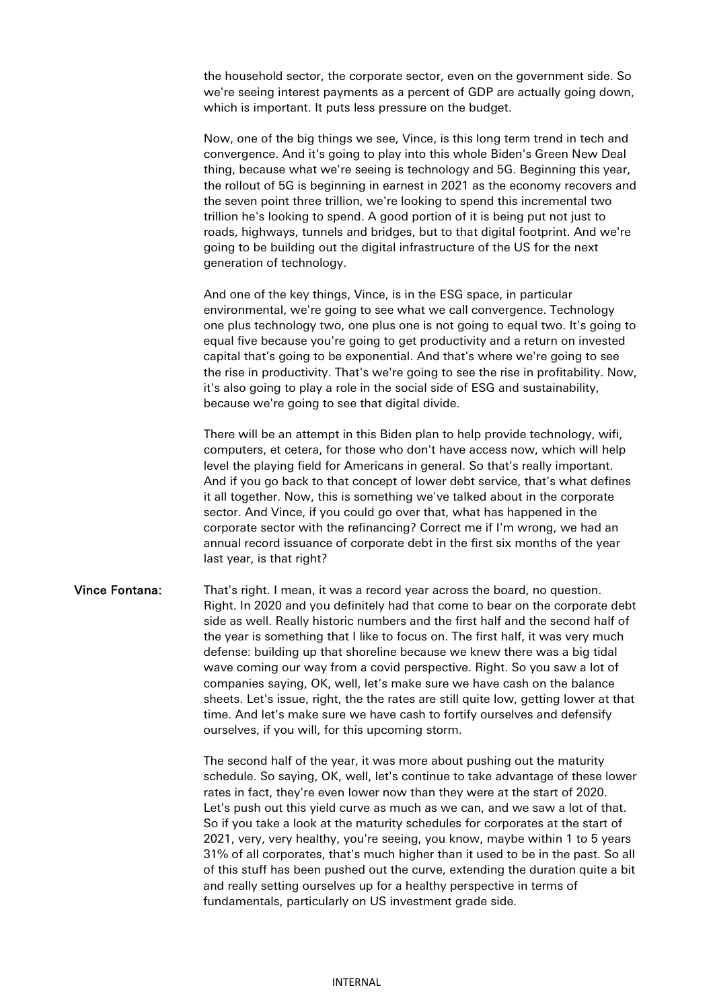the household sector, the corporate sector, even on the government side. So we're seeing interest payments as a percent of GDP are actually going down, which is important. It puts less pressure on the budget.

Now, one of the big things we see, Vince, is this long term trend in tech and convergence. And it's going to play into this whole Biden's Green New Deal thing, because what we're seeing is technology and 5G. Beginning this year, the rollout of 5G is beginning in earnest in 2021 as the economy recovers and the seven point three trillion, we're looking to spend this incremental two trillion he's looking to spend. A good portion of it is being put not just to roads, highways, tunnels and bridges, but to that digital footprint. And we're going to be building out the digital infrastructure of the US for the next generation of technology.

And one of the key things, Vince, is in the ESG space, in particular environmental, we're going to see what we call convergence. Technology one plus technology two, one plus one is not going to equal two. It's going to equal five because you're going to get productivity and a return on invested capital that's going to be exponential. And that's where we're going to see the rise in productivity. That's we're going to see the rise in profitability. Now, it's also going to play a role in the social side of ESG and sustainability, because we're going to see that digital divide.

There will be an attempt in this Biden plan to help provide technology, wifi, computers, et cetera, for those who don't have access now, which will help level the playing field for Americans in general. So that's really important. And if you go back to that concept of lower debt service, that's what defines it all together. Now, this is something we've talked about in the corporate sector. And Vince, if you could go over that, what has happened in the corporate sector with the refinancing? Correct me if I'm wrong, we had an annual record issuance of corporate debt in the first six months of the year last year, is that right?

## Vince Fontana: That's right. I mean, it was a record year across the board, no question. Right. In 2020 and you definitely had that come to bear on the corporate debt side as well. Really historic numbers and the first half and the second half of the year is something that I like to focus on. The first half, it was very much defense: building up that shoreline because we knew there was a big tidal wave coming our way from a covid perspective. Right. So you saw a lot of companies saying, OK, well, let's make sure we have cash on the balance sheets. Let's issue, right, the the rates are still quite low, getting lower at that time. And let's make sure we have cash to fortify ourselves and defensify ourselves, if you will, for this upcoming storm.

The second half of the year, it was more about pushing out the maturity schedule. So saying, OK, well, let's continue to take advantage of these lower rates in fact, they're even lower now than they were at the start of 2020. Let's push out this yield curve as much as we can, and we saw a lot of that. So if you take a look at the maturity schedules for corporates at the start of 2021, very, very healthy, you're seeing, you know, maybe within 1 to 5 years 31% of all corporates, that's much higher than it used to be in the past. So all of this stuff has been pushed out the curve, extending the duration quite a bit and really setting ourselves up for a healthy perspective in terms of fundamentals, particularly on US investment grade side.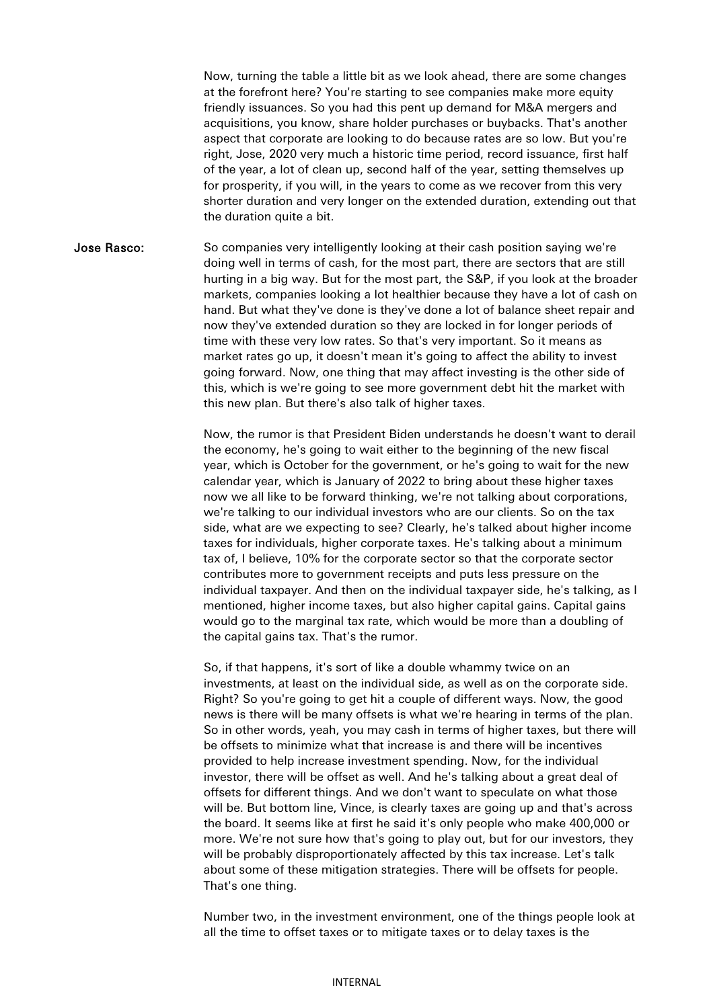Now, turning the table a little bit as we look ahead, there are some changes at the forefront here? You're starting to see companies make more equity friendly issuances. So you had this pent up demand for M&A mergers and acquisitions, you know, share holder purchases or buybacks. That's another aspect that corporate are looking to do because rates are so low. But you're right, Jose, 2020 very much a historic time period, record issuance, first half of the year, a lot of clean up, second half of the year, setting themselves up for prosperity, if you will, in the years to come as we recover from this very shorter duration and very longer on the extended duration, extending out that the duration quite a bit.

Jose Rasco: So companies very intelligently looking at their cash position saying we're doing well in terms of cash, for the most part, there are sectors that are still hurting in a big way. But for the most part, the S&P, if you look at the broader markets, companies looking a lot healthier because they have a lot of cash on hand. But what they've done is they've done a lot of balance sheet repair and now they've extended duration so they are locked in for longer periods of time with these very low rates. So that's very important. So it means as market rates go up, it doesn't mean it's going to affect the ability to invest going forward. Now, one thing that may affect investing is the other side of this, which is we're going to see more government debt hit the market with this new plan. But there's also talk of higher taxes.

> Now, the rumor is that President Biden understands he doesn't want to derail the economy, he's going to wait either to the beginning of the new fiscal year, which is October for the government, or he's going to wait for the new calendar year, which is January of 2022 to bring about these higher taxes now we all like to be forward thinking, we're not talking about corporations, we're talking to our individual investors who are our clients. So on the tax side, what are we expecting to see? Clearly, he's talked about higher income taxes for individuals, higher corporate taxes. He's talking about a minimum tax of, I believe, 10% for the corporate sector so that the corporate sector contributes more to government receipts and puts less pressure on the individual taxpayer. And then on the individual taxpayer side, he's talking, as I mentioned, higher income taxes, but also higher capital gains. Capital gains would go to the marginal tax rate, which would be more than a doubling of the capital gains tax. That's the rumor.

> So, if that happens, it's sort of like a double whammy twice on an investments, at least on the individual side, as well as on the corporate side. Right? So you're going to get hit a couple of different ways. Now, the good news is there will be many offsets is what we're hearing in terms of the plan. So in other words, yeah, you may cash in terms of higher taxes, but there will be offsets to minimize what that increase is and there will be incentives provided to help increase investment spending. Now, for the individual investor, there will be offset as well. And he's talking about a great deal of offsets for different things. And we don't want to speculate on what those will be. But bottom line, Vince, is clearly taxes are going up and that's across the board. It seems like at first he said it's only people who make 400,000 or more. We're not sure how that's going to play out, but for our investors, they will be probably disproportionately affected by this tax increase. Let's talk about some of these mitigation strategies. There will be offsets for people. That's one thing.

> Number two, in the investment environment, one of the things people look at all the time to offset taxes or to mitigate taxes or to delay taxes is the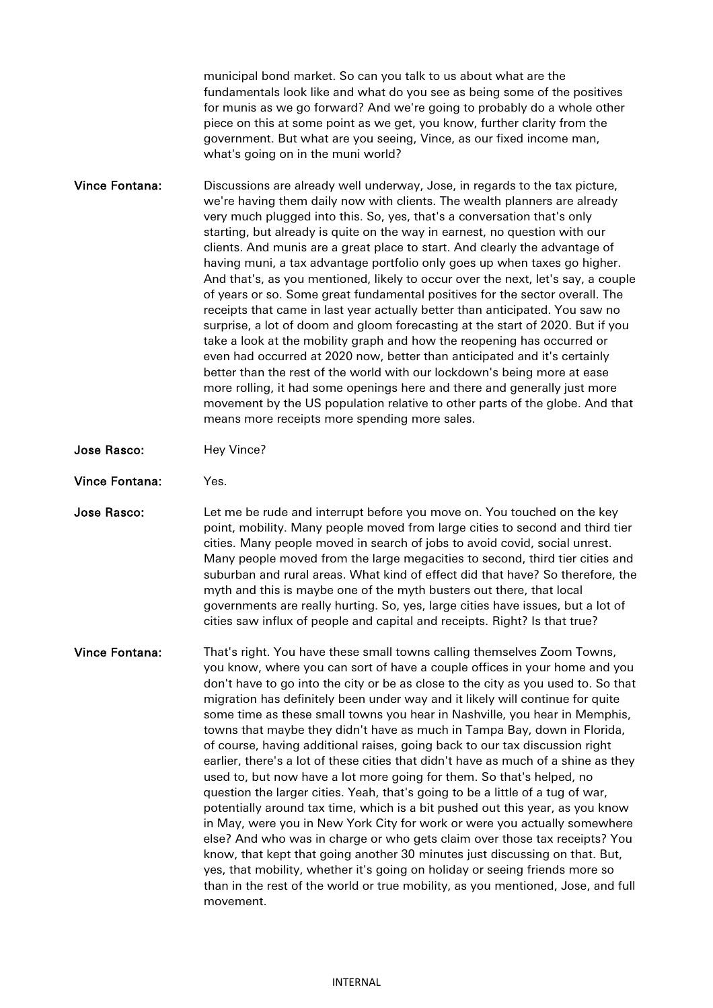municipal bond market. So can you talk to us about what are the fundamentals look like and what do you see as being some of the positives for munis as we go forward? And we're going to probably do a whole other piece on this at some point as we get, you know, further clarity from the government. But what are you seeing, Vince, as our fixed income man, what's going on in the muni world?

Vince Fontana: Discussions are already well underway, Jose, in regards to the tax picture, we're having them daily now with clients. The wealth planners are already very much plugged into this. So, yes, that's a conversation that's only starting, but already is quite on the way in earnest, no question with our clients. And munis are a great place to start. And clearly the advantage of having muni, a tax advantage portfolio only goes up when taxes go higher. And that's, as you mentioned, likely to occur over the next, let's say, a couple of years or so. Some great fundamental positives for the sector overall. The receipts that came in last year actually better than anticipated. You saw no surprise, a lot of doom and gloom forecasting at the start of 2020. But if you take a look at the mobility graph and how the reopening has occurred or even had occurred at 2020 now, better than anticipated and it's certainly better than the rest of the world with our lockdown's being more at ease more rolling, it had some openings here and there and generally just more movement by the US population relative to other parts of the globe. And that means more receipts more spending more sales.

- Jose Rasco: Hey Vince?
- Vince Fontana: Yes.

Jose Rasco: Let me be rude and interrupt before you move on. You touched on the key point, mobility. Many people moved from large cities to second and third tier cities. Many people moved in search of jobs to avoid covid, social unrest. Many people moved from the large megacities to second, third tier cities and suburban and rural areas. What kind of effect did that have? So therefore, the myth and this is maybe one of the myth busters out there, that local governments are really hurting. So, yes, large cities have issues, but a lot of cities saw influx of people and capital and receipts. Right? Is that true?

Vince Fontana: That's right. You have these small towns calling themselves Zoom Towns, you know, where you can sort of have a couple offices in your home and you don't have to go into the city or be as close to the city as you used to. So that migration has definitely been under way and it likely will continue for quite some time as these small towns you hear in Nashville, you hear in Memphis, towns that maybe they didn't have as much in Tampa Bay, down in Florida, of course, having additional raises, going back to our tax discussion right earlier, there's a lot of these cities that didn't have as much of a shine as they used to, but now have a lot more going for them. So that's helped, no question the larger cities. Yeah, that's going to be a little of a tug of war, potentially around tax time, which is a bit pushed out this year, as you know in May, were you in New York City for work or were you actually somewhere else? And who was in charge or who gets claim over those tax receipts? You know, that kept that going another 30 minutes just discussing on that. But, yes, that mobility, whether it's going on holiday or seeing friends more so than in the rest of the world or true mobility, as you mentioned, Jose, and full movement.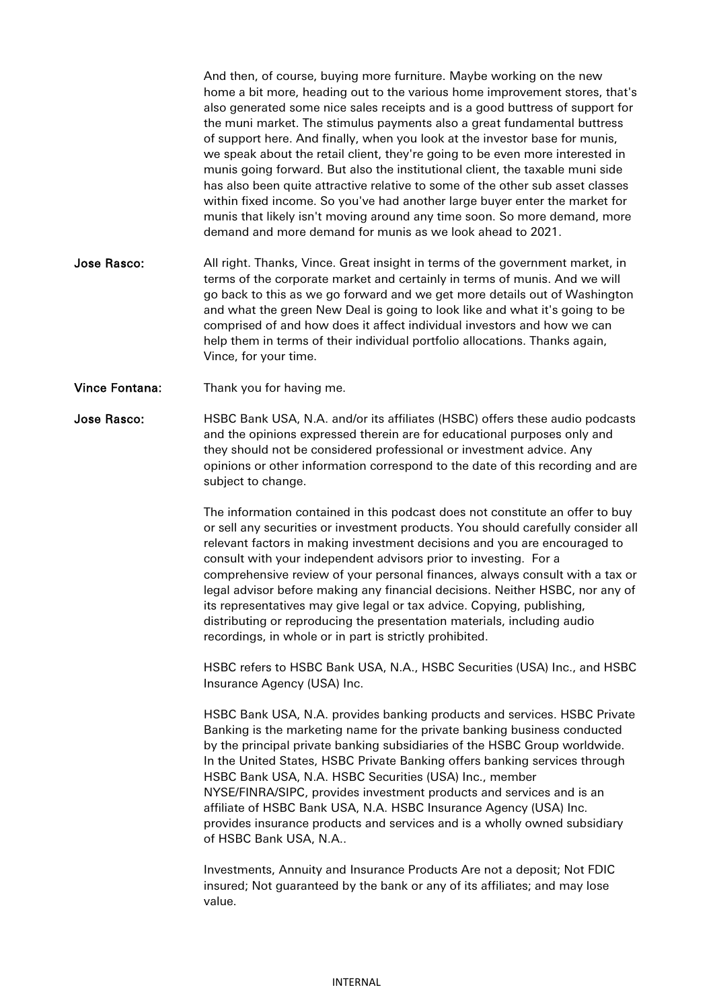And then, of course, buying more furniture. Maybe working on the new home a bit more, heading out to the various home improvement stores, that's also generated some nice sales receipts and is a good buttress of support for the muni market. The stimulus payments also a great fundamental buttress of support here. And finally, when you look at the investor base for munis, we speak about the retail client, they're going to be even more interested in munis going forward. But also the institutional client, the taxable muni side has also been quite attractive relative to some of the other sub asset classes within fixed income. So you've had another large buyer enter the market for munis that likely isn't moving around any time soon. So more demand, more demand and more demand for munis as we look ahead to 2021.

- Jose Rasco: All right. Thanks, Vince. Great insight in terms of the government market, in terms of the corporate market and certainly in terms of munis. And we will go back to this as we go forward and we get more details out of Washington and what the green New Deal is going to look like and what it's going to be comprised of and how does it affect individual investors and how we can help them in terms of their individual portfolio allocations. Thanks again, Vince, for your time.
- Vince Fontana: Thank you for having me.

Jose Rasco: HSBC Bank USA, N.A. and/or its affiliates (HSBC) offers these audio podcasts and the opinions expressed therein are for educational purposes only and they should not be considered professional or investment advice. Any opinions or other information correspond to the date of this recording and are subject to change.

> The information contained in this podcast does not constitute an offer to buy or sell any securities or investment products. You should carefully consider all relevant factors in making investment decisions and you are encouraged to consult with your independent advisors prior to investing. For a comprehensive review of your personal finances, always consult with a tax or legal advisor before making any financial decisions. Neither HSBC, nor any of its representatives may give legal or tax advice. Copying, publishing, distributing or reproducing the presentation materials, including audio recordings, in whole or in part is strictly prohibited.

> HSBC refers to HSBC Bank USA, N.A., HSBC Securities (USA) Inc., and HSBC Insurance Agency (USA) Inc.

> HSBC Bank USA, N.A. provides banking products and services. HSBC Private Banking is the marketing name for the private banking business conducted by the principal private banking subsidiaries of the HSBC Group worldwide. In the United States, HSBC Private Banking offers banking services through HSBC Bank USA, N.A. HSBC Securities (USA) Inc., member NYSE/FINRA/SIPC, provides investment products and services and is an affiliate of HSBC Bank USA, N.A. HSBC Insurance Agency (USA) Inc. provides insurance products and services and is a wholly owned subsidiary of HSBC Bank USA, N.A..

Investments, Annuity and Insurance Products Are not a deposit; Not FDIC insured; Not guaranteed by the bank or any of its affiliates; and may lose value.